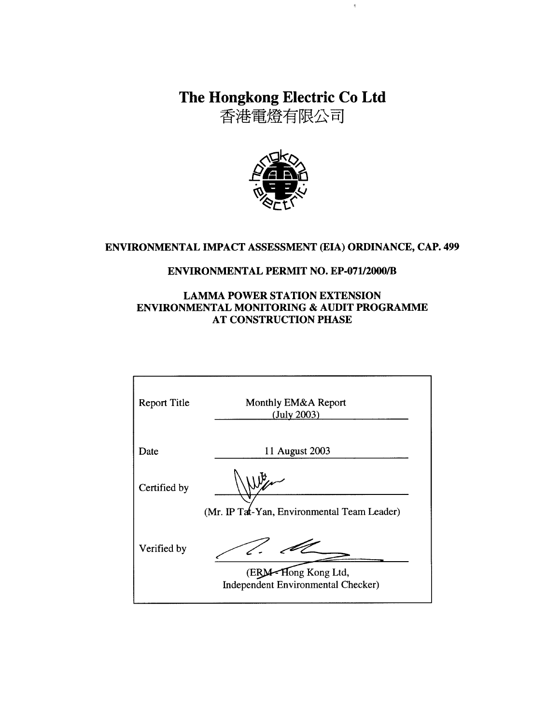The Hongkong Electric Co Ltd

 $\bar{\eta}$ 

香港電燈有限公司



## ENVIRONMENTAL IMPACT ASSESSMENT (EIA) ORDINANCE, CAP. 499

#### **ENVIRONMENTAL PERMIT NO. EP-071/2000/B**

#### **LAMMA POWER STATION EXTENSION ENVIRONMENTAL MONITORING & AUDIT PROGRAMME AT CONSTRUCTION PHASE**

| <b>Report Title</b> | Monthly EM&A Report<br>(July 2003)                                  |
|---------------------|---------------------------------------------------------------------|
| Date                | 11 August 2003                                                      |
| Certified by        |                                                                     |
|                     | (Mr. IP Tat-Yan, Environmental Team Leader)                         |
| Verified by         |                                                                     |
|                     | Hong Kong Ltd,<br>(ERM<br><b>Independent Environmental Checker)</b> |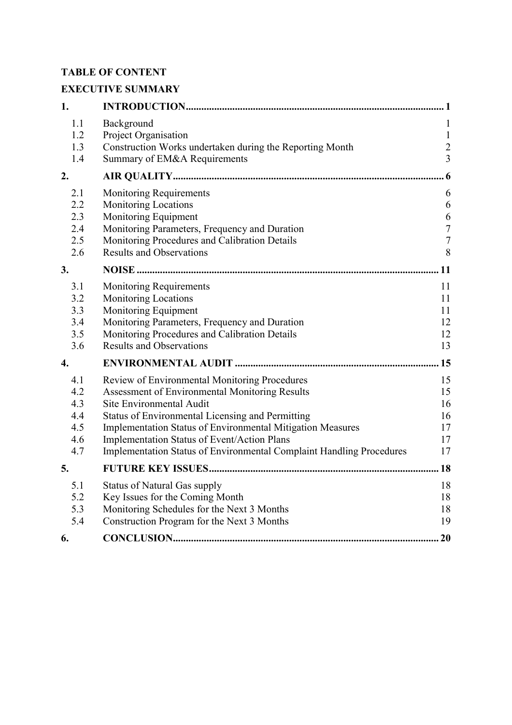# **TABLE OF CONTENT**

# **EXECUTIVE SUMMARY**

| 1.                                            |                                                                                                                                                                                                                                                                                                                                                                             |                                                       |
|-----------------------------------------------|-----------------------------------------------------------------------------------------------------------------------------------------------------------------------------------------------------------------------------------------------------------------------------------------------------------------------------------------------------------------------------|-------------------------------------------------------|
| 1.1<br>1.2<br>1.3<br>1.4                      | Background<br>Project Organisation<br>Construction Works undertaken during the Reporting Month<br>Summary of EM&A Requirements                                                                                                                                                                                                                                              | 1<br>$\mathbf{1}$<br>$\overline{c}$<br>$\overline{3}$ |
| 2.                                            |                                                                                                                                                                                                                                                                                                                                                                             | 6 <sub>6</sub>                                        |
| 2.1<br>2.2<br>2.3<br>2.4<br>2.5<br>2.6        | <b>Monitoring Requirements</b><br><b>Monitoring Locations</b><br>Monitoring Equipment<br>Monitoring Parameters, Frequency and Duration<br>Monitoring Procedures and Calibration Details<br><b>Results and Observations</b>                                                                                                                                                  | 6<br>6<br>6<br>$\sqrt{ }$<br>$\overline{7}$<br>8      |
| 3.                                            |                                                                                                                                                                                                                                                                                                                                                                             | 11                                                    |
| 3.1<br>3.2<br>3.3<br>3.4<br>3.5<br>3.6        | <b>Monitoring Requirements</b><br><b>Monitoring Locations</b><br>Monitoring Equipment<br>Monitoring Parameters, Frequency and Duration<br>Monitoring Procedures and Calibration Details<br><b>Results and Observations</b>                                                                                                                                                  | 11<br>11<br>11<br>12<br>12<br>13                      |
| 4.                                            |                                                                                                                                                                                                                                                                                                                                                                             | .15                                                   |
| 4.1<br>4.2<br>4.3<br>4.4<br>4.5<br>4.6<br>4.7 | Review of Environmental Monitoring Procedures<br><b>Assessment of Environmental Monitoring Results</b><br>Site Environmental Audit<br>Status of Environmental Licensing and Permitting<br>Implementation Status of Environmental Mitigation Measures<br>Implementation Status of Event/Action Plans<br>Implementation Status of Environmental Complaint Handling Procedures | 15<br>15<br>16<br>16<br>17<br>17<br>17                |
| 5.                                            |                                                                                                                                                                                                                                                                                                                                                                             | .18                                                   |
| 5.1<br>5.2<br>5.3<br>5.4                      | <b>Status of Natural Gas supply</b><br>Key Issues for the Coming Month<br>Monitoring Schedules for the Next 3 Months<br>Construction Program for the Next 3 Months                                                                                                                                                                                                          | 18<br>18<br>18<br>19                                  |
| 6.                                            |                                                                                                                                                                                                                                                                                                                                                                             | .20                                                   |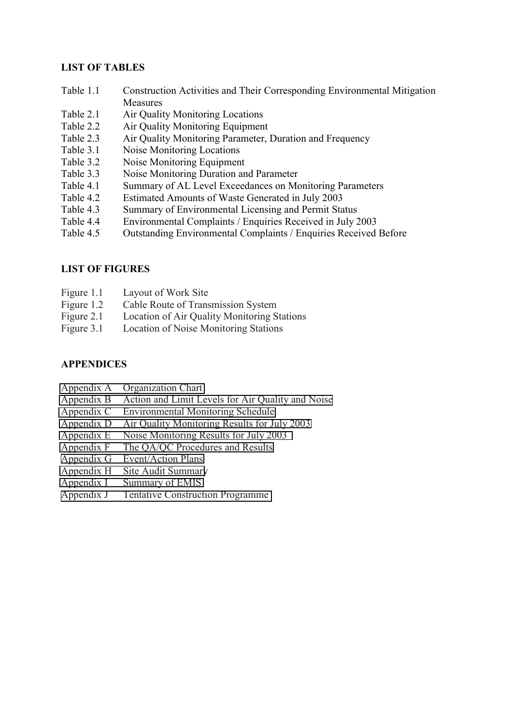### **LIST OF TABLES**

- Table 1.1 Construction Activities and Their Corresponding Environmental Mitigation Measures
- Table 2.1 Air Quality Monitoring Locations
- Table 2.2 Air Quality Monitoring Equipment
- Table 2.3 Air Quality Monitoring Parameter, Duration and Frequency
- Table 3.1 Noise Monitoring Locations
- Table 3.2 Noise Monitoring Equipment
- Table 3.3 Noise Monitoring Duration and Parameter
- Table 4.1 Summary of AL Level Exceedances on Monitoring Parameters
- Table 4.2 Estimated Amounts of Waste Generated in July 2003
- Table 4.3 Summary of Environmental Licensing and Permit Status
- Table 4.4 Environmental Complaints / Enquiries Received in July 2003
- Table 4.5 Outstanding Environmental Complaints / Enquiries Received Before

## **LIST OF FIGURES**

- Figure 1.1 Layout of Work Site
- Figure 1.2 Cable Route of Transmission System
- Figure 2.1 Location of Air Quality Monitoring Stations
- Figure 3.1 Location of Noise Monitoring Stations

### **APPENDICES**

- Appendix A Organization Chart
- Appendix B Action and Limit Levels for Air Quality and Noise
- Appendix C Environmental Monitoring Schedule
- Appendix D Air Quality Monitoring Results for July 2003
- Appendix E Noise Monitoring Results for July 2003
- Appendix F The QA/QC Procedures and Results
- Appendix G Event/Action Plans
- Appendix H Site Audit Summary
- Appendix I Summary of EMIS
- Appendix J Tentative Construction Programme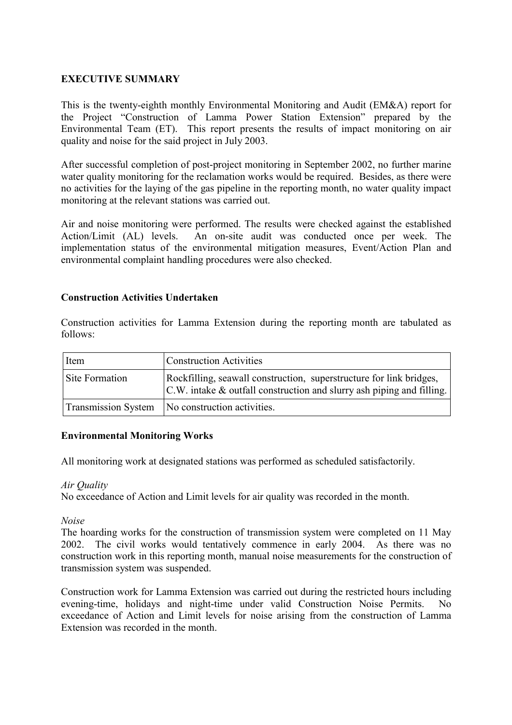#### **EXECUTIVE SUMMARY**

This is the twenty-eighth monthly Environmental Monitoring and Audit (EM&A) report for the Project "Construction of Lamma Power Station Extension" prepared by the Environmental Team (ET). This report presents the results of impact monitoring on air quality and noise for the said project in July 2003.

After successful completion of post-project monitoring in September 2002, no further marine water quality monitoring for the reclamation works would be required. Besides, as there were no activities for the laying of the gas pipeline in the reporting month, no water quality impact monitoring at the relevant stations was carried out.

Air and noise monitoring were performed. The results were checked against the established Action/Limit (AL) levels. An on-site audit was conducted once per week. The implementation status of the environmental mitigation measures, Event/Action Plan and environmental complaint handling procedures were also checked.

#### **Construction Activities Undertaken**

Construction activities for Lamma Extension during the reporting month are tabulated as follows:

| Item           | <b>Construction Activities</b>                                                                                                                  |
|----------------|-------------------------------------------------------------------------------------------------------------------------------------------------|
| Site Formation | Rockfilling, seawall construction, superstructure for link bridges,<br>$ C.W $ intake & outfall construction and slurry ash piping and filling. |
|                | Transmission System   No construction activities.                                                                                               |

#### **Environmental Monitoring Works**

All monitoring work at designated stations was performed as scheduled satisfactorily.

#### *Air Quality*

No exceedance of Action and Limit levels for air quality was recorded in the month.

*Noise* 

The hoarding works for the construction of transmission system were completed on 11 May 2002. The civil works would tentatively commence in early 2004. As there was no construction work in this reporting month, manual noise measurements for the construction of transmission system was suspended.

Construction work for Lamma Extension was carried out during the restricted hours including evening-time, holidays and night-time under valid Construction Noise Permits. No exceedance of Action and Limit levels for noise arising from the construction of Lamma Extension was recorded in the month.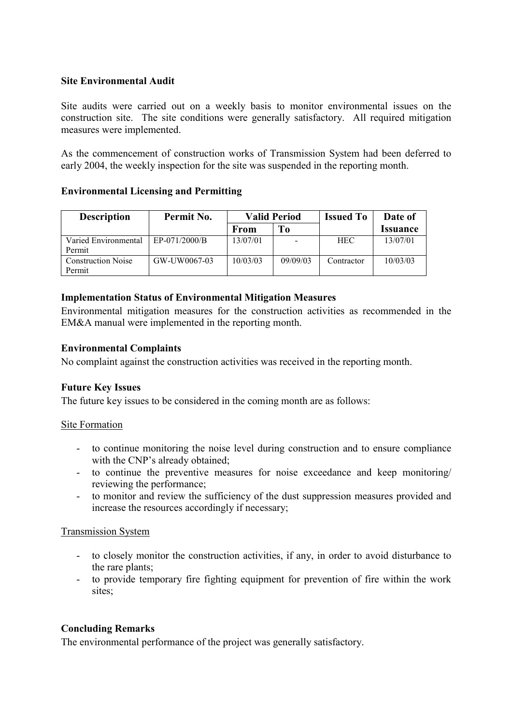#### **Site Environmental Audit**

Site audits were carried out on a weekly basis to monitor environmental issues on the construction site. The site conditions were generally satisfactory. All required mitigation measures were implemented.

As the commencement of construction works of Transmission System had been deferred to early 2004, the weekly inspection for the site was suspended in the reporting month.

#### **Environmental Licensing and Permitting**

| <b>Description</b>                  | Permit No.    | <b>Valid Period</b> |          | <b>Issued To</b> | Date of                |
|-------------------------------------|---------------|---------------------|----------|------------------|------------------------|
|                                     |               | From                | To       |                  | <i><b>Issuance</b></i> |
| Varied Environmental<br>Permit      | EP-071/2000/B | 13/07/01            |          | <b>HEC</b>       | 13/07/01               |
| <b>Construction Noise</b><br>Permit | GW-UW0067-03  | 10/03/03            | 09/09/03 | Contractor       | 10/03/03               |

#### **Implementation Status of Environmental Mitigation Measures**

Environmental mitigation measures for the construction activities as recommended in the EM&A manual were implemented in the reporting month.

#### **Environmental Complaints**

No complaint against the construction activities was received in the reporting month.

#### **Future Key Issues**

The future key issues to be considered in the coming month are as follows:

#### Site Formation

- to continue monitoring the noise level during construction and to ensure compliance with the CNP's already obtained:
- to continue the preventive measures for noise exceedance and keep monitoring/ reviewing the performance;
- to monitor and review the sufficiency of the dust suppression measures provided and increase the resources accordingly if necessary;

#### Transmission System

- to closely monitor the construction activities, if any, in order to avoid disturbance to the rare plants;
- to provide temporary fire fighting equipment for prevention of fire within the work sites;

#### **Concluding Remarks**

The environmental performance of the project was generally satisfactory.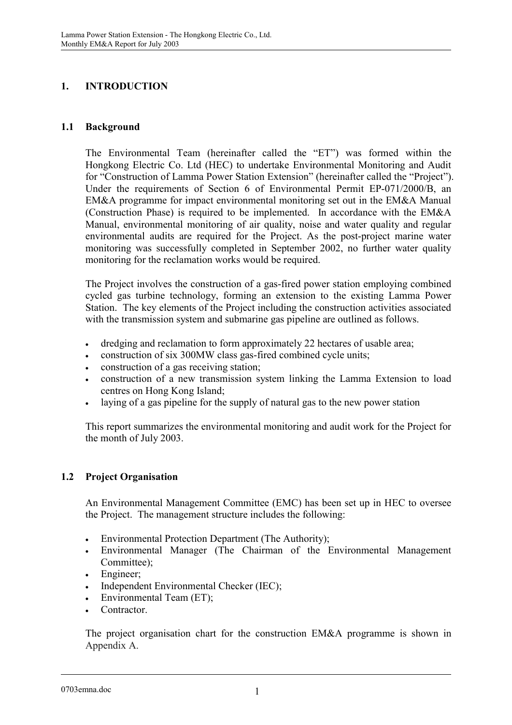## **1. INTRODUCTION**

### **1.1 Background**

The Environmental Team (hereinafter called the "ET") was formed within the Hongkong Electric Co. Ltd (HEC) to undertake Environmental Monitoring and Audit for "Construction of Lamma Power Station Extension" (hereinafter called the "Project"). Under the requirements of Section 6 of Environmental Permit EP-071/2000/B, an EM&A programme for impact environmental monitoring set out in the EM&A Manual (Construction Phase) is required to be implemented. In accordance with the EM&A Manual, environmental monitoring of air quality, noise and water quality and regular environmental audits are required for the Project. As the post-project marine water monitoring was successfully completed in September 2002, no further water quality monitoring for the reclamation works would be required.

The Project involves the construction of a gas-fired power station employing combined cycled gas turbine technology, forming an extension to the existing Lamma Power Station. The key elements of the Project including the construction activities associated with the transmission system and submarine gas pipeline are outlined as follows.

- dredging and reclamation to form approximately 22 hectares of usable area;
- construction of six 300MW class gas-fired combined cycle units;
- construction of a gas receiving station;
- construction of a new transmission system linking the Lamma Extension to load centres on Hong Kong Island;
- $\bullet$ laying of a gas pipeline for the supply of natural gas to the new power station

This report summarizes the environmental monitoring and audit work for the Project for the month of July 2003.

#### **1.2 Project Organisation**

An Environmental Management Committee (EMC) has been set up in HEC to oversee the Project. The management structure includes the following:

- $\bullet$ Environmental Protection Department (The Authority);
- - Environmental Manager (The Chairman of the Environmental Management Committee);
- -Engineer;
- $\bullet$ Independent Environmental Checker (IEC);
- $\bullet$ Environmental Team (ET);
- -**Contractor**

The project organisation chart for the construction EM&A programme is shown in Appendix A.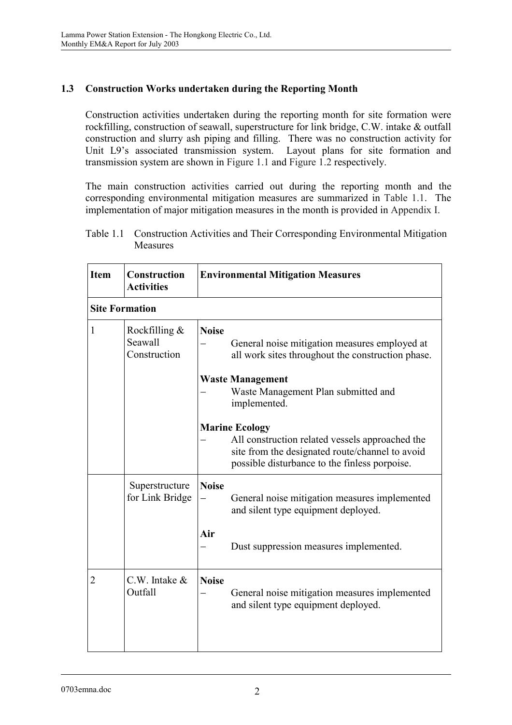## **1.3 Construction Works undertaken during the Reporting Month**

Construction activities undertaken during the reporting month for site formation were rockfilling, construction of seawall, superstructure for link bridge, C.W. intake & outfall construction and slurry ash piping and filling. There was no construction activity for Unit L9's associated transmission system. Layout plans for site formation and transmission system are shown in Figure 1.1 and Figure 1.2 respectively.

The main construction activities carried out during the reporting month and the corresponding environmental mitigation measures are summarized in Table 1.1. The implementation of major mitigation measures in the month is provided in Appendix I.

| Table 1.1 Construction Activities and Their Corresponding Environmental Mitigation |
|------------------------------------------------------------------------------------|
| <b>Measures</b>                                                                    |

| <b>Item</b>           | Construction<br><b>Activities</b>           | <b>Environmental Mitigation Measures</b> |                                                                                                                                                                              |
|-----------------------|---------------------------------------------|------------------------------------------|------------------------------------------------------------------------------------------------------------------------------------------------------------------------------|
| <b>Site Formation</b> |                                             |                                          |                                                                                                                                                                              |
| $\mathbf{1}$          | Rockfilling $\&$<br>Seawall<br>Construction | <b>Noise</b>                             | General noise mitigation measures employed at<br>all work sites throughout the construction phase.                                                                           |
|                       |                                             |                                          | <b>Waste Management</b><br>Waste Management Plan submitted and<br>implemented.                                                                                               |
|                       |                                             |                                          | <b>Marine Ecology</b><br>All construction related vessels approached the<br>site from the designated route/channel to avoid<br>possible disturbance to the finless porpoise. |
|                       | Superstructure<br>for Link Bridge           | <b>Noise</b>                             | General noise mitigation measures implemented<br>and silent type equipment deployed.                                                                                         |
|                       |                                             | Air                                      | Dust suppression measures implemented.                                                                                                                                       |
| 2                     | $C.W.$ Intake $&$<br>Outfall                | <b>Noise</b>                             | General noise mitigation measures implemented<br>and silent type equipment deployed.                                                                                         |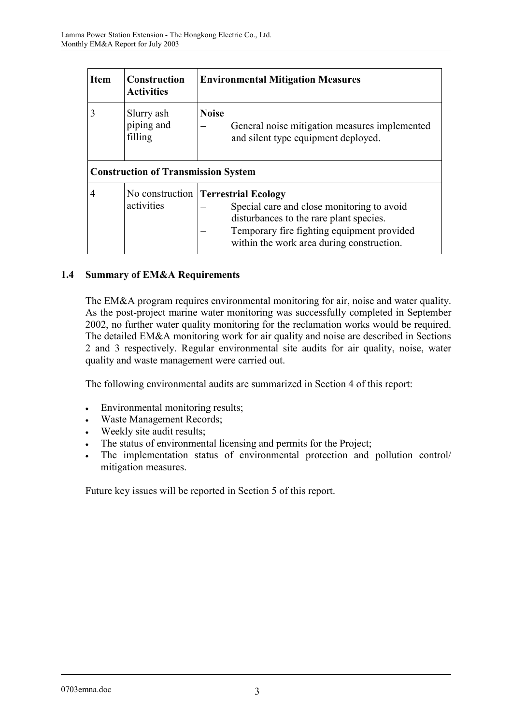| <b>Item</b> | <b>Construction</b><br><b>Activities</b>   | <b>Environmental Mitigation Measures</b>                                                                                                                                                                                       |
|-------------|--------------------------------------------|--------------------------------------------------------------------------------------------------------------------------------------------------------------------------------------------------------------------------------|
| 3           | Slurry ash<br>piping and<br>filling        | <b>Noise</b><br>General noise mitigation measures implemented<br>and silent type equipment deployed.                                                                                                                           |
|             | <b>Construction of Transmission System</b> |                                                                                                                                                                                                                                |
| 4           | activities                                 | No construction <b>Terrestrial Ecology</b><br>Special care and close monitoring to avoid<br>disturbances to the rare plant species.<br>Temporary fire fighting equipment provided<br>within the work area during construction. |

## **1.4 Summary of EM&A Requirements**

The EM&A program requires environmental monitoring for air, noise and water quality. As the post-project marine water monitoring was successfully completed in September 2002, no further water quality monitoring for the reclamation works would be required. The detailed EM&A monitoring work for air quality and noise are described in Sections 2 and 3 respectively. Regular environmental site audits for air quality, noise, water quality and waste management were carried out.

The following environmental audits are summarized in Section 4 of this report:

- $\bullet$ Environmental monitoring results;
- -Waste Management Records;
- $\bullet$ Weekly site audit results;
- $\bullet$ The status of environmental licensing and permits for the Project;
- $\bullet$  The implementation status of environmental protection and pollution control/ mitigation measures.

Future key issues will be reported in Section 5 of this report.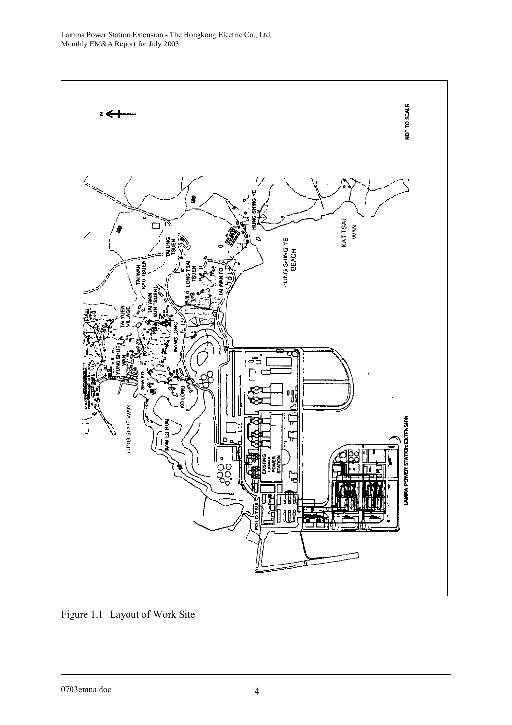

Figure 1.1 Layout of Work Site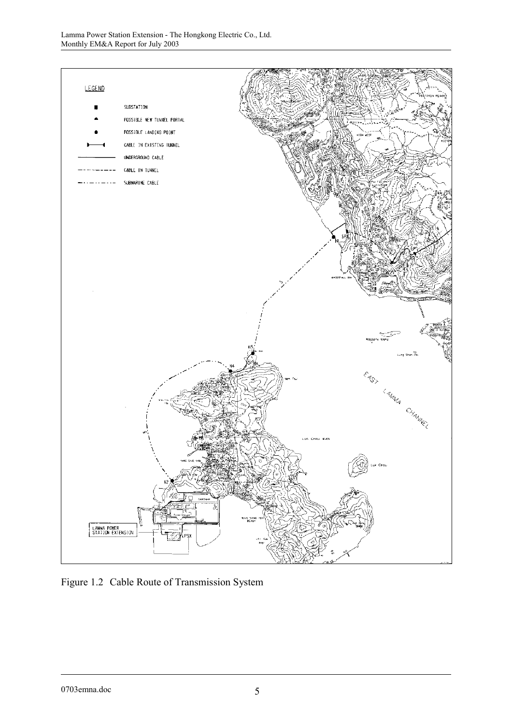

Figure 1.2 Cable Route of Transmission System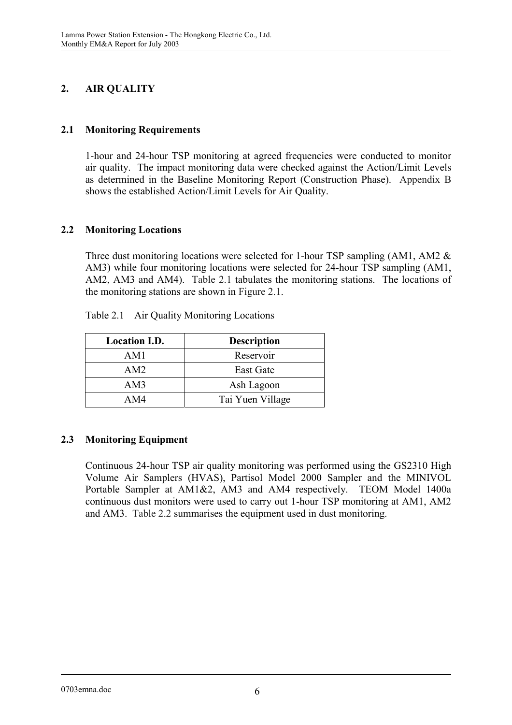# **2. AIR QUALITY**

## **2.1 Monitoring Requirements**

1-hour and 24-hour TSP monitoring at agreed frequencies were conducted to monitor air quality. The impact monitoring data were checked against the Action/Limit Levels as determined in the Baseline Monitoring Report (Construction Phase). Appendix B shows the established Action/Limit Levels for Air Quality.

## **2.2 Monitoring Locations**

Three dust monitoring locations were selected for 1-hour TSP sampling (AM1, AM2 & AM3) while four monitoring locations were selected for 24-hour TSP sampling (AM1, AM2, AM3 and AM4). Table 2.1 tabulates the monitoring stations. The locations of the monitoring stations are shown in Figure 2.1.

| <b>Location I.D.</b> | <b>Description</b> |
|----------------------|--------------------|
| AM1                  | Reservoir          |
| AM2                  | <b>East Gate</b>   |
| AM3                  | Ash Lagoon         |
| AM4                  | Tai Yuen Village   |

Table 2.1 Air Quality Monitoring Locations

## **2.3 Monitoring Equipment**

Continuous 24-hour TSP air quality monitoring was performed using the GS2310 High Volume Air Samplers (HVAS), Partisol Model 2000 Sampler and the MINIVOL Portable Sampler at AM1&2, AM3 and AM4 respectively. TEOM Model 1400a continuous dust monitors were used to carry out 1-hour TSP monitoring at AM1, AM2 and AM3. Table 2.2 summarises the equipment used in dust monitoring.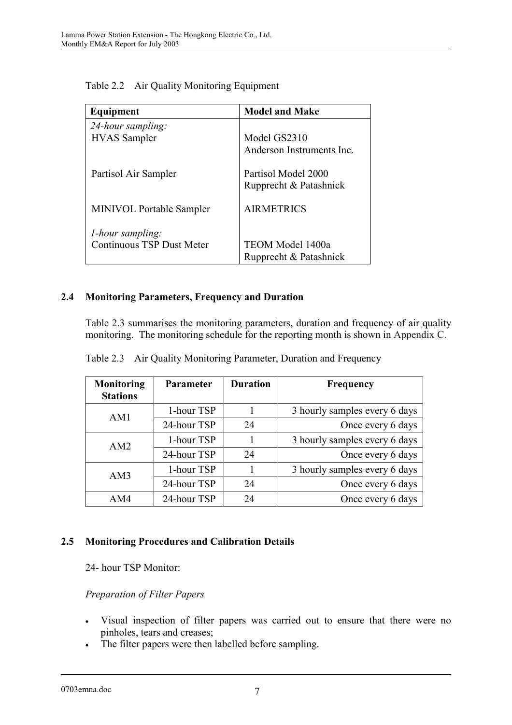| Equipment                        | <b>Model and Make</b>     |
|----------------------------------|---------------------------|
| 24-hour sampling:                |                           |
| <b>HVAS</b> Sampler              | Model GS2310              |
|                                  | Anderson Instruments Inc. |
| Partisol Air Sampler             | Partisol Model 2000       |
|                                  | Rupprecht & Patashnick    |
| <b>MINIVOL Portable Sampler</b>  | <b>AIRMETRICS</b>         |
| <i>l</i> -hour sampling:         |                           |
| <b>Continuous TSP Dust Meter</b> | TEOM Model 1400a          |
|                                  | Rupprecht & Patashnick    |

Table 2.2 Air Quality Monitoring Equipment

## **2.4 Monitoring Parameters, Frequency and Duration**

Table 2.3 summarises the monitoring parameters, duration and frequency of air quality monitoring. The monitoring schedule for the reporting month is shown in Appendix C.

| Monitoring<br><b>Stations</b> | <b>Parameter</b> | <b>Duration</b> | <b>Frequency</b>              |
|-------------------------------|------------------|-----------------|-------------------------------|
| AM1                           | 1-hour TSP       |                 | 3 hourly samples every 6 days |
|                               | 24-hour TSP      | 24              | Once every 6 days             |
| AM <sub>2</sub>               | 1-hour TSP       |                 | 3 hourly samples every 6 days |
|                               | 24-hour TSP      | 24              | Once every 6 days             |
| AM3                           | 1-hour TSP       |                 | 3 hourly samples every 6 days |
|                               | 24-hour TSP      | 24              | Once every 6 days             |
| AM4                           | 24-hour TSP      | 24              | Once every 6 days             |

Table 2.3 Air Quality Monitoring Parameter, Duration and Frequency

#### **2.5 Monitoring Procedures and Calibration Details**

24- hour TSP Monitor:

#### *Preparation of Filter Papers*

- $\bullet$  Visual inspection of filter papers was carried out to ensure that there were no pinholes, tears and creases;
- $\bullet$ The filter papers were then labelled before sampling.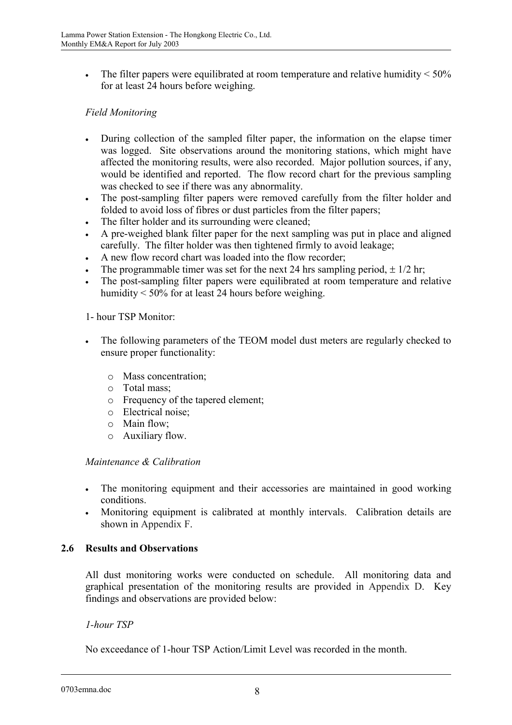$\bullet$ The filter papers were equilibrated at room temperature and relative humidity  $\leq 50\%$ for at least 24 hours before weighing.

## *Field Monitoring*

- $\bullet$  During collection of the sampled filter paper, the information on the elapse timer was logged. Site observations around the monitoring stations, which might have affected the monitoring results, were also recorded. Major pollution sources, if any, would be identified and reported. The flow record chart for the previous sampling was checked to see if there was any abnormality.
- $\bullet$  The post-sampling filter papers were removed carefully from the filter holder and folded to avoid loss of fibres or dust particles from the filter papers;
- -The filter holder and its surrounding were cleaned;
- - A pre-weighed blank filter paper for the next sampling was put in place and aligned carefully. The filter holder was then tightened firmly to avoid leakage;
- $\bullet$ A new flow record chart was loaded into the flow recorder;
- $\bullet$ The programmable timer was set for the next 24 hrs sampling period,  $\pm$  1/2 hr;
- $\bullet$  The post-sampling filter papers were equilibrated at room temperature and relative humidity < 50% for at least 24 hours before weighing.

#### 1- hour TSP Monitor:

- $\bullet$  The following parameters of the TEOM model dust meters are regularly checked to ensure proper functionality:
	- o Mass concentration;
	- o Total mass;
	- o Frequency of the tapered element;
	- o Electrical noise;
	- o Main flow;
	- o Auxiliary flow.

#### *Maintenance & Calibration*

- $\bullet$  The monitoring equipment and their accessories are maintained in good working conditions.
- $\bullet$  Monitoring equipment is calibrated at monthly intervals. Calibration details are shown in Appendix F.

#### **2.6 Results and Observations**

All dust monitoring works were conducted on schedule. All monitoring data and graphical presentation of the monitoring results are provided in Appendix D. Key findings and observations are provided below:

#### *1-hour TSP*

No exceedance of 1-hour TSP Action/Limit Level was recorded in the month.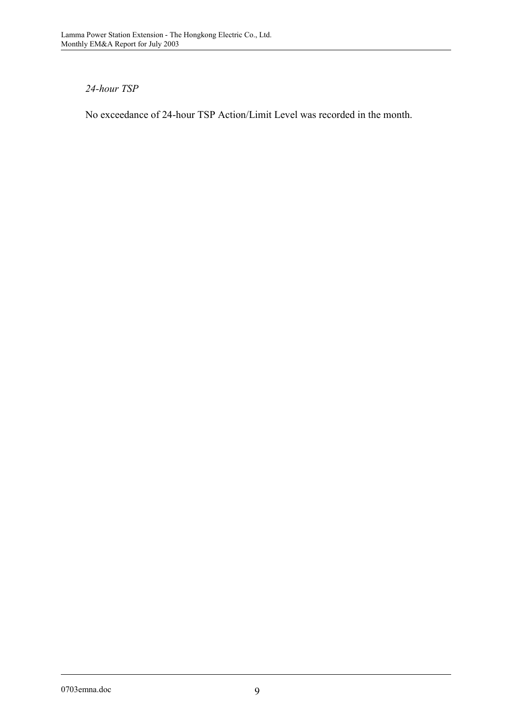### *24-hour TSP*

No exceedance of 24-hour TSP Action/Limit Level was recorded in the month.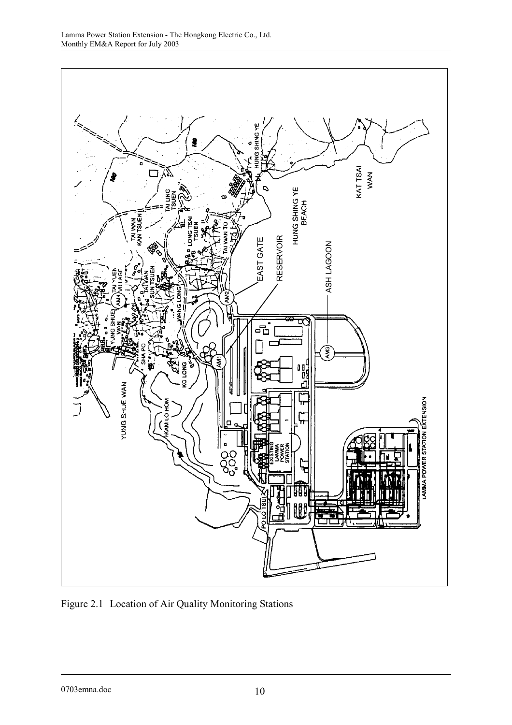

Figure 2.1 Location of Air Quality Monitoring Stations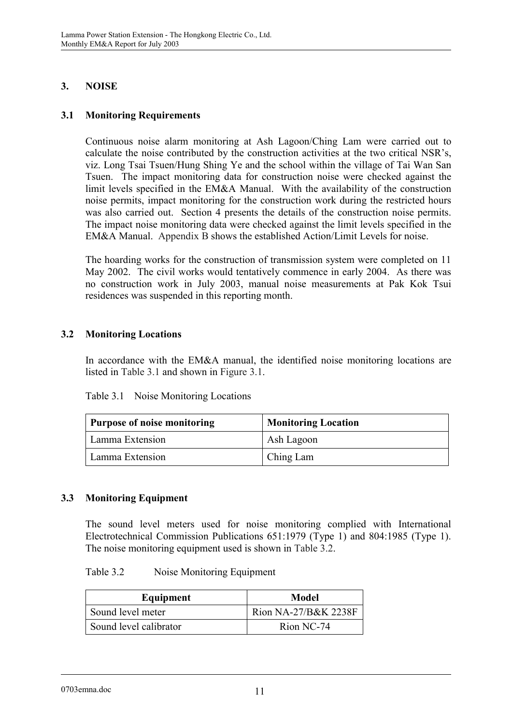## **3. NOISE**

### **3.1 Monitoring Requirements**

Continuous noise alarm monitoring at Ash Lagoon/Ching Lam were carried out to calculate the noise contributed by the construction activities at the two critical NSR's, viz. Long Tsai Tsuen/Hung Shing Ye and the school within the village of Tai Wan San Tsuen. The impact monitoring data for construction noise were checked against the limit levels specified in the EM&A Manual. With the availability of the construction noise permits, impact monitoring for the construction work during the restricted hours was also carried out. Section 4 presents the details of the construction noise permits. The impact noise monitoring data were checked against the limit levels specified in the EM&A Manual. Appendix B shows the established Action/Limit Levels for noise.

The hoarding works for the construction of transmission system were completed on 11 May 2002. The civil works would tentatively commence in early 2004. As there was no construction work in July 2003, manual noise measurements at Pak Kok Tsui residences was suspended in this reporting month.

## **3.2 Monitoring Locations**

In accordance with the EM&A manual, the identified noise monitoring locations are listed in Table 3.1 and shown in Figure 3.1.

| Table 3.1<br>Noise Monitoring Locations |  |
|-----------------------------------------|--|
|-----------------------------------------|--|

| <b>Purpose of noise monitoring</b> | <b>Monitoring Location</b> |
|------------------------------------|----------------------------|
| Lamma Extension                    | Ash Lagoon                 |
| Lamma Extension                    | Ching Lam                  |

#### **3.3 Monitoring Equipment**

The sound level meters used for noise monitoring complied with International Electrotechnical Commission Publications 651:1979 (Type 1) and 804:1985 (Type 1). The noise monitoring equipment used is shown in Table 3.2.

#### Table 3.2 Noise Monitoring Equipment

| Equipment              | <b>Model</b>         |
|------------------------|----------------------|
| Sound level meter      | Rion NA-27/B&K 2238F |
| Sound level calibrator | Rion NC-74           |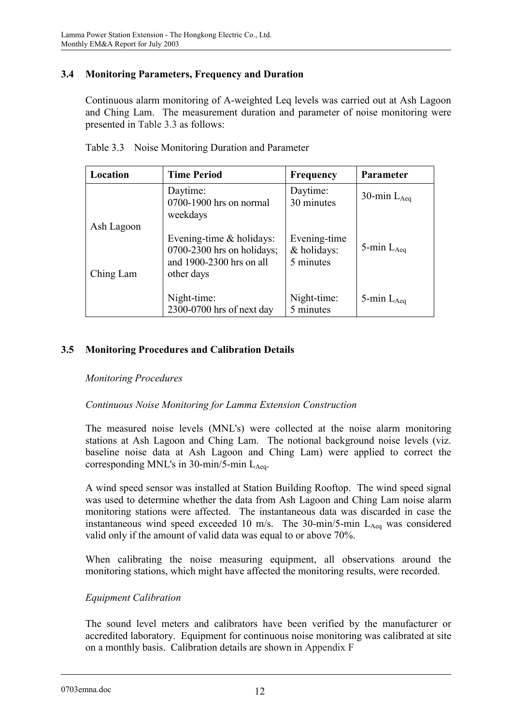## **3.4 Monitoring Parameters, Frequency and Duration**

Continuous alarm monitoring of A-weighted Leq levels was carried out at Ash Lagoon and Ching Lam. The measurement duration and parameter of noise monitoring were presented in Table 3.3 as follows:

| Location                | <b>Time Period</b>                                                                                   | <b>Frequency</b>                         | <b>Parameter</b> |
|-------------------------|------------------------------------------------------------------------------------------------------|------------------------------------------|------------------|
|                         | Daytime:<br>0700-1900 hrs on normal<br>weekdays                                                      | Daytime:<br>30 minutes                   | 30-min $L_{Aea}$ |
| Ash Lagoon<br>Ching Lam | Evening-time $&$ holidays:<br>$0700-2300$ hrs on holidays;<br>and 1900-2300 hrs on all<br>other days | Evening-time<br>& holidays:<br>5 minutes | 5-min $L_{Aeq}$  |
|                         | Night-time:<br>2300-0700 hrs of next day                                                             | Night-time:<br>5 minutes                 | 5-min $L_{Aea}$  |

Table 3.3 Noise Monitoring Duration and Parameter

## **3.5 Monitoring Procedures and Calibration Details**

#### *Monitoring Procedures*

#### *Continuous Noise Monitoring for Lamma Extension Construction*

The measured noise levels (MNL's) were collected at the noise alarm monitoring stations at Ash Lagoon and Ching Lam. The notional background noise levels (viz. baseline noise data at Ash Lagoon and Ching Lam) were applied to correct the corresponding MNL's in 30-min/5-min  $L_{Aea}$ .

A wind speed sensor was installed at Station Building Rooftop. The wind speed signal was used to determine whether the data from Ash Lagoon and Ching Lam noise alarm monitoring stations were affected. The instantaneous data was discarded in case the instantaneous wind speed exceeded 10 m/s. The 30-min/5-min  $L_{A_{eq}}$  was considered valid only if the amount of valid data was equal to or above 70%.

When calibrating the noise measuring equipment, all observations around the monitoring stations, which might have affected the monitoring results, were recorded.

#### *Equipment Calibration*

The sound level meters and calibrators have been verified by the manufacturer or accredited laboratory. Equipment for continuous noise monitoring was calibrated at site on a monthly basis. Calibration details are shown in Appendix F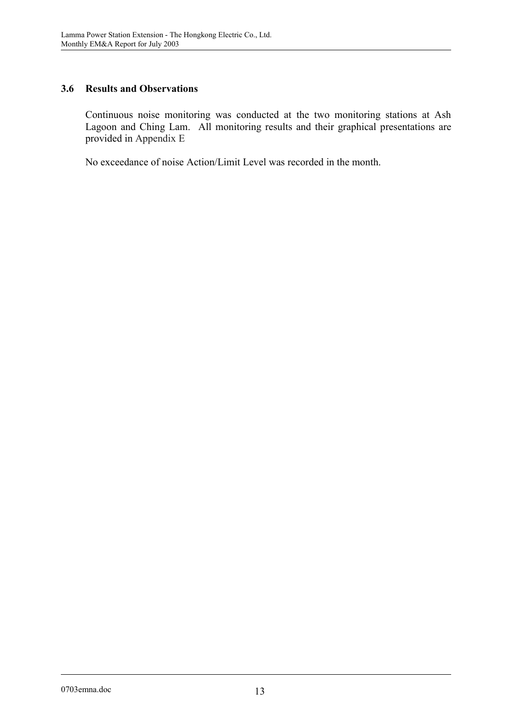### **3.6 Results and Observations**

Continuous noise monitoring was conducted at the two monitoring stations at Ash Lagoon and Ching Lam. All monitoring results and their graphical presentations are provided in Appendix E

No exceedance of noise Action/Limit Level was recorded in the month.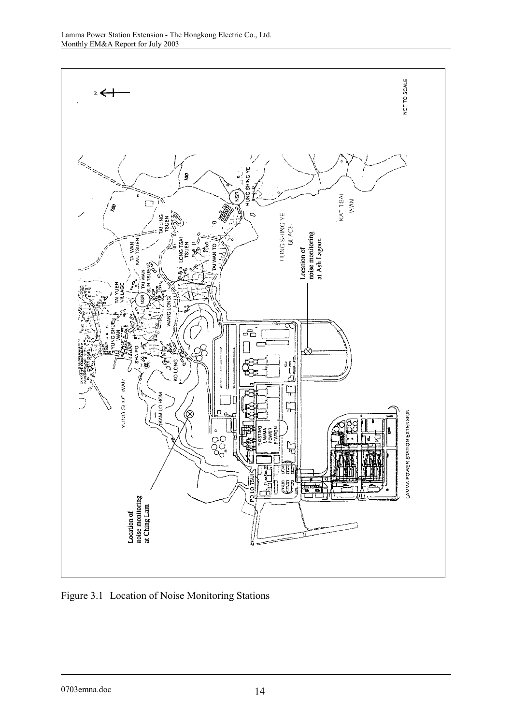

Figure 3.1 Location of Noise Monitoring Stations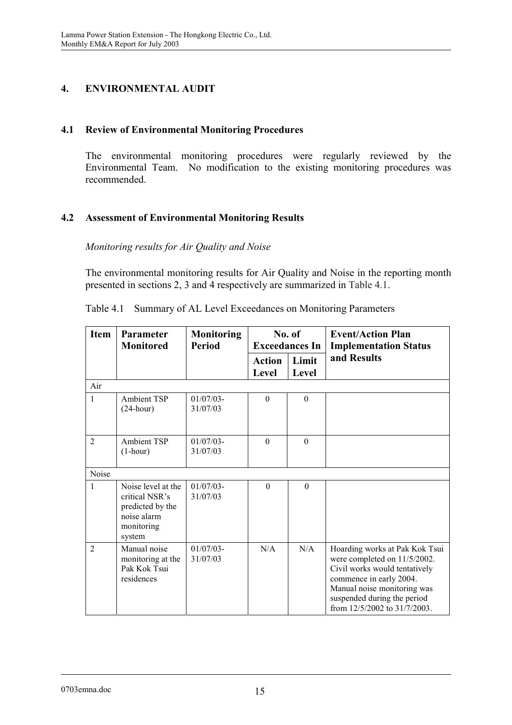# **4. ENVIRONMENTAL AUDIT**

### **4.1 Review of Environmental Monitoring Procedures**

The environmental monitoring procedures were regularly reviewed by the Environmental Team. No modification to the existing monitoring procedures was recommended.

## **4.2 Assessment of Environmental Monitoring Results**

*Monitoring results for Air Quality and Noise* 

The environmental monitoring results for Air Quality and Noise in the reporting month presented in sections 2, 3 and 4 respectively are summarized in Table 4.1.

| <b>Item</b>    | Parameter<br><b>Monitored</b>                                                                   | <b>Monitoring</b><br><b>Period</b> | No. of<br><b>Exceedances In</b> |                | <b>Event/Action Plan</b><br><b>Implementation Status</b>                                                                                                                                                                 |
|----------------|-------------------------------------------------------------------------------------------------|------------------------------------|---------------------------------|----------------|--------------------------------------------------------------------------------------------------------------------------------------------------------------------------------------------------------------------------|
|                |                                                                                                 |                                    | <b>Action</b><br><b>Level</b>   | Limit<br>Level | and Results                                                                                                                                                                                                              |
| Air            |                                                                                                 |                                    |                                 |                |                                                                                                                                                                                                                          |
| 1              | <b>Ambient TSP</b><br>$(24$ -hour)                                                              | $01/07/03$ -<br>31/07/03           | $\theta$                        | $\mathbf{0}$   |                                                                                                                                                                                                                          |
| $\overline{2}$ | <b>Ambient TSP</b><br>$(1-hour)$                                                                | $01/07/03$ -<br>31/07/03           | $\theta$                        | $\Omega$       |                                                                                                                                                                                                                          |
| Noise          |                                                                                                 |                                    |                                 |                |                                                                                                                                                                                                                          |
| 1              | Noise level at the<br>critical NSR's<br>predicted by the<br>noise alarm<br>monitoring<br>system | $01/07/03$ -<br>31/07/03           | $\Omega$                        | $\Omega$       |                                                                                                                                                                                                                          |
| $\overline{2}$ | Manual noise<br>monitoring at the<br>Pak Kok Tsui<br>residences                                 | $01/07/03$ -<br>31/07/03           | N/A                             | N/A            | Hoarding works at Pak Kok Tsui<br>were completed on 11/5/2002.<br>Civil works would tentatively<br>commence in early 2004.<br>Manual noise monitoring was<br>suspended during the period<br>from 12/5/2002 to 31/7/2003. |

Table 4.1 Summary of AL Level Exceedances on Monitoring Parameters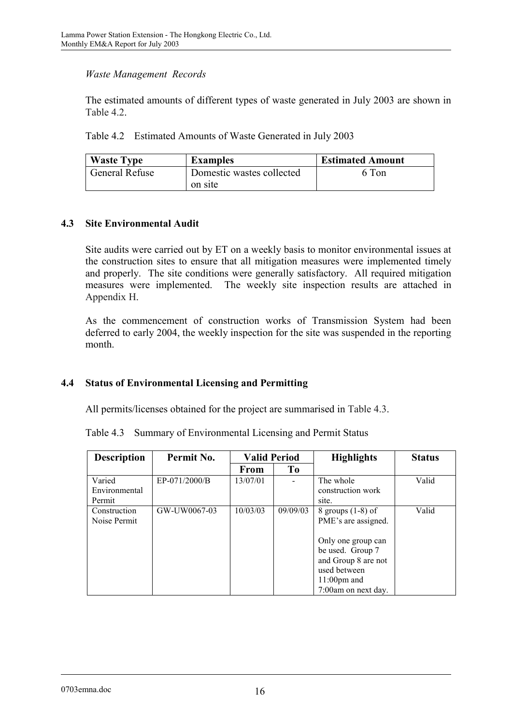#### *Waste Management Records*

The estimated amounts of different types of waste generated in July 2003 are shown in Table 4.2.

Table 4.2 Estimated Amounts of Waste Generated in July 2003

| <b>Waste Type</b> | <b>Examples</b>           | <b>Estimated Amount</b> |
|-------------------|---------------------------|-------------------------|
| General Refuse    | Domestic wastes collected | 6 Ton                   |
|                   | on site                   |                         |

#### **4.3 Site Environmental Audit**

Site audits were carried out by ET on a weekly basis to monitor environmental issues at the construction sites to ensure that all mitigation measures were implemented timely and properly. The site conditions were generally satisfactory. All required mitigation measures were implemented. The weekly site inspection results are attached in Appendix H.

As the commencement of construction works of Transmission System had been deferred to early 2004, the weekly inspection for the site was suspended in the reporting month.

#### **4.4 Status of Environmental Licensing and Permitting**

All permits/licenses obtained for the project are summarised in Table 4.3.

|  |  |  |  |  | Table 4.3 Summary of Environmental Licensing and Permit Status |
|--|--|--|--|--|----------------------------------------------------------------|
|--|--|--|--|--|----------------------------------------------------------------|

| <b>Description</b> | Permit No.    | <b>Valid Period</b> |          | <b>Highlights</b>   | <b>Status</b> |
|--------------------|---------------|---------------------|----------|---------------------|---------------|
|                    |               | From                | Tо       |                     |               |
| Varied             | EP-071/2000/B | 13/07/01            |          | The whole           | Valid         |
| Environmental      |               |                     |          | construction work   |               |
| Permit             |               |                     |          | site.               |               |
| Construction       | GW-UW0067-03  | 10/03/03            | 09/09/03 | 8 groups $(1-8)$ of | Valid         |
| Noise Permit       |               |                     |          | PME's are assigned. |               |
|                    |               |                     |          |                     |               |
|                    |               |                     |          | Only one group can  |               |
|                    |               |                     |          | be used. Group 7    |               |
|                    |               |                     |          | and Group 8 are not |               |
|                    |               |                     |          | used between        |               |
|                    |               |                     |          | $11:00$ pm and      |               |
|                    |               |                     |          | 7:00am on next day. |               |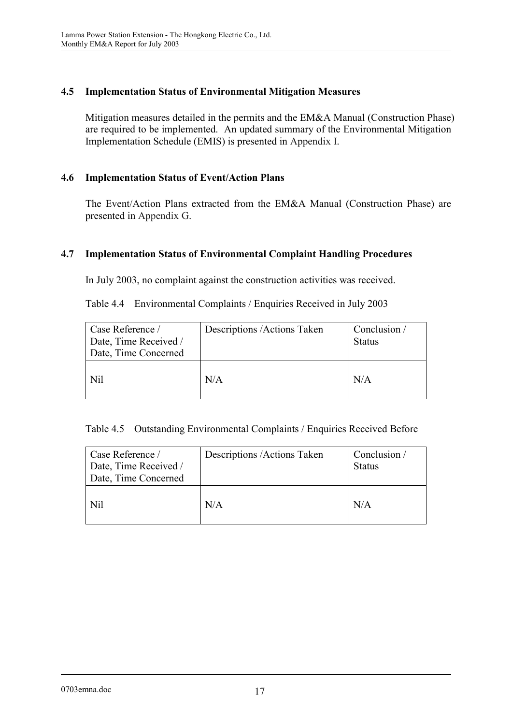## **4.5 Implementation Status of Environmental Mitigation Measures**

Mitigation measures detailed in the permits and the EM&A Manual (Construction Phase) are required to be implemented. An updated summary of the Environmental Mitigation Implementation Schedule (EMIS) is presented in Appendix I.

### **4.6 Implementation Status of Event/Action Plans**

The Event/Action Plans extracted from the EM&A Manual (Construction Phase) are presented in Appendix G.

## **4.7 Implementation Status of Environmental Complaint Handling Procedures**

In July 2003, no complaint against the construction activities was received.

Table 4.4 Environmental Complaints / Enquiries Received in July 2003

| Case Reference /<br>Date, Time Received /<br>Date, Time Concerned | Descriptions /Actions Taken | Conclusion /<br><b>Status</b> |
|-------------------------------------------------------------------|-----------------------------|-------------------------------|
| Nil                                                               | N/A                         | N/A                           |

Table 4.5 Outstanding Environmental Complaints / Enquiries Received Before

| Case Reference /<br>Date, Time Received /<br>Date, Time Concerned | Descriptions /Actions Taken | Conclusion /<br><b>Status</b> |
|-------------------------------------------------------------------|-----------------------------|-------------------------------|
| Nil                                                               | N/A                         | N/A                           |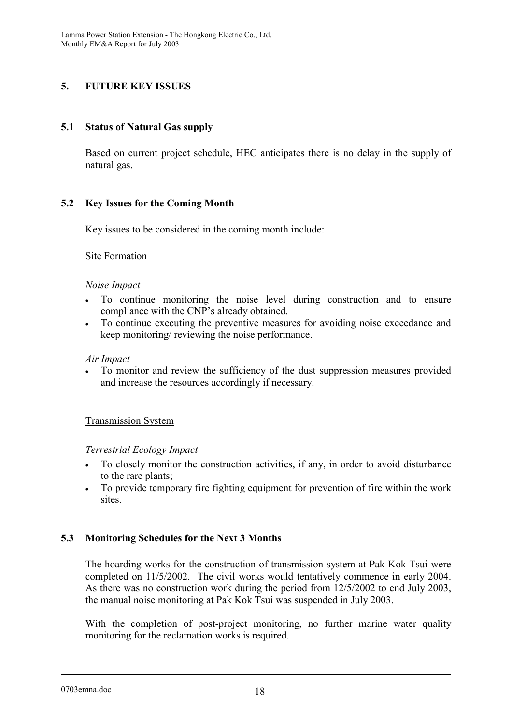## **5. FUTURE KEY ISSUES**

## **5.1 Status of Natural Gas supply**

Based on current project schedule, HEC anticipates there is no delay in the supply of natural gas.

## **5.2 Key Issues for the Coming Month**

Key issues to be considered in the coming month include:

#### Site Formation

#### *Noise Impact*

- $\bullet$  To continue monitoring the noise level during construction and to ensure compliance with the CNP's already obtained.
- $\bullet$  To continue executing the preventive measures for avoiding noise exceedance and keep monitoring/ reviewing the noise performance.

#### *Air Impact*

- To monitor and review the sufficiency of the dust suppression measures provided and increase the resources accordingly if necessary.

#### Transmission System

#### *Terrestrial Ecology Impact*

- $\bullet$  To closely monitor the construction activities, if any, in order to avoid disturbance to the rare plants;
- $\bullet$  To provide temporary fire fighting equipment for prevention of fire within the work sites.

#### **5.3 Monitoring Schedules for the Next 3 Months**

The hoarding works for the construction of transmission system at Pak Kok Tsui were completed on 11/5/2002. The civil works would tentatively commence in early 2004. As there was no construction work during the period from 12/5/2002 to end July 2003, the manual noise monitoring at Pak Kok Tsui was suspended in July 2003.

With the completion of post-project monitoring, no further marine water quality monitoring for the reclamation works is required.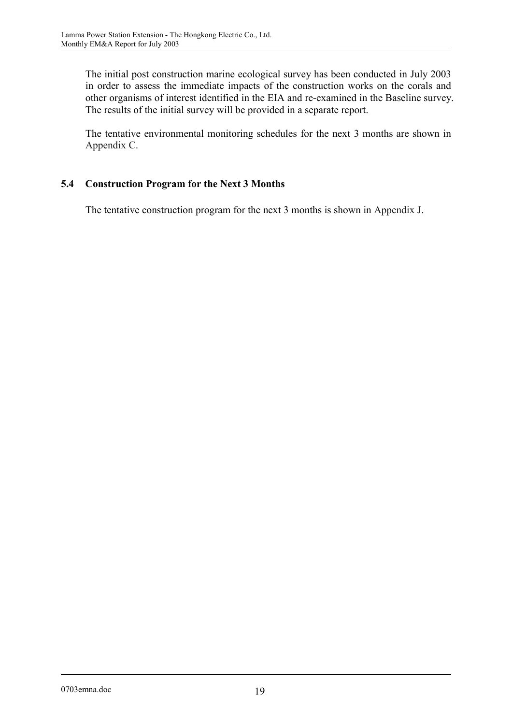The initial post construction marine ecological survey has been conducted in July 2003 in order to assess the immediate impacts of the construction works on the corals and other organisms of interest identified in the EIA and re-examined in the Baseline survey. The results of the initial survey will be provided in a separate report.

The tentative environmental monitoring schedules for the next 3 months are shown in Appendix C.

## **5.4 Construction Program for the Next 3 Months**

The tentative construction program for the next 3 months is shown in Appendix J.